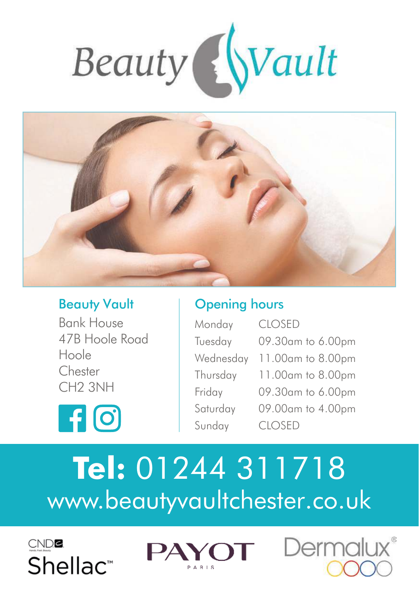



# Beauty Vault

## Opening hours

| <b>Bank House</b>   |              |
|---------------------|--------------|
| 47B Hoole Road      | Тū           |
| Hoole               | W            |
| Chester             | Th           |
| CH <sub>2</sub> 3NH | Fri          |
|                     | $S_{\Omega}$ |
| <b>FI [0]</b>       |              |

| Monday    | <b>CLOSED</b>     |
|-----------|-------------------|
| Tuesday   | 09.30am to 6.00pm |
| Wednesday | 11.00am to 8.00pm |
| Thursday  | 11.00am to 8.00pm |
| Friday    | 09.30am to 6.00pm |
| Saturday  | 09.00am to 4.00pm |
| Sunday    | <b>CLOSED</b>     |

# **Tel:** 01244 311718 www.beautyvaultchester.co.uk